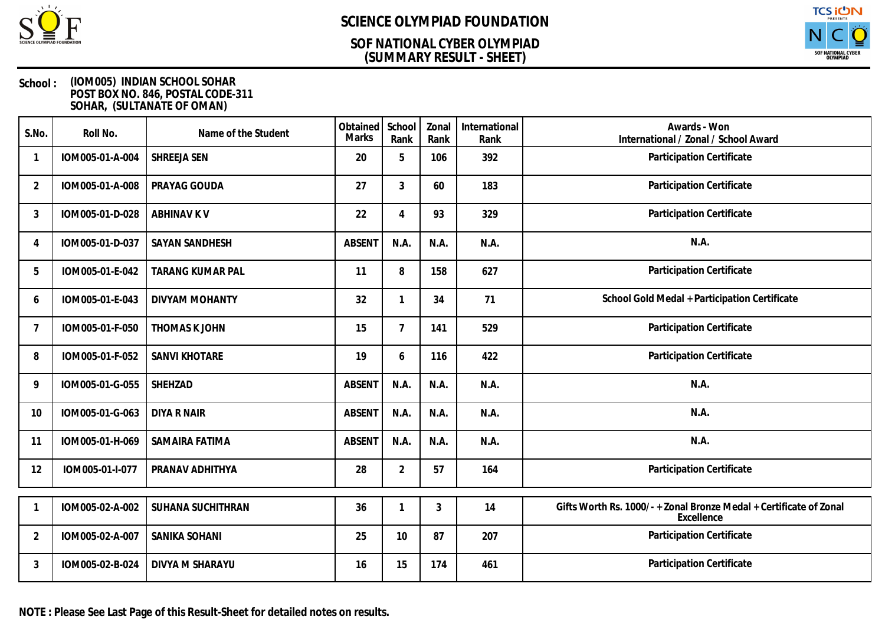

### **(SUMMARY RESULT - SHEET) SOF NATIONAL CYBER OLYMPIAD**



#### **School : (IOM005) INDIAN SCHOOL SOHAR POST BOX NO. 846, POSTAL CODE-311 SOHAR, (SULTANATE OF OMAN)**

| S.No.          | Roll No.        | Name of the Student     | Obtained<br>Marks | School<br>Rank | Zonal<br>Rank | International<br>Rank | Awards - Won<br>International / Zonal / School Award                             |
|----------------|-----------------|-------------------------|-------------------|----------------|---------------|-----------------------|----------------------------------------------------------------------------------|
|                | IOM005-01-A-004 | SHREEJA SEN             | 20                | 5              | 106           | 392                   | Participation Certificate                                                        |
| $\overline{2}$ | IOM005-01-A-008 | PRAYAG GOUDA            | 27                | 3              | 60            | 183                   | Participation Certificate                                                        |
| 3              | IOM005-01-D-028 | <b>ABHINAV K V</b>      | 22                | 4              | 93            | 329                   | Participation Certificate                                                        |
| $\overline{A}$ | IOM005-01-D-037 | <b>SAYAN SANDHESH</b>   | <b>ABSENT</b>     | N.A.           | N.A.          | N.A.                  | N.A.                                                                             |
| 5              | IOM005-01-E-042 | <b>TARANG KUMAR PAL</b> | 11                | 8              | 158           | 627                   | Participation Certificate                                                        |
| 6              | IOM005-01-E-043 | <b>DIVYAM MOHANTY</b>   | 32                |                | 34            | 71                    | School Gold Medal + Participation Certificate                                    |
| 7              | IOM005-01-F-050 | THOMAS K JOHN           | 15                | $\overline{7}$ | 141           | 529                   | Participation Certificate                                                        |
| 8              | IOM005-01-F-052 | SANVI KHOTARE           | 19                | 6              | 116           | 422                   | Participation Certificate                                                        |
| 9              | IOM005-01-G-055 | SHEHZAD                 | <b>ABSENT</b>     | N.A.           | N.A.          | N.A.                  | N.A.                                                                             |
| 10             | IOM005-01-G-063 | <b>DIYA R NAIR</b>      | <b>ABSENT</b>     | N.A.           | N.A.          | N.A.                  | N.A.                                                                             |
| 11             | IOM005-01-H-069 | SAMAIRA FATIMA          | <b>ABSENT</b>     | N.A.           | N.A.          | N.A.                  | N.A.                                                                             |
| 12             | IOM005-01-I-077 | PRANAV ADHITHYA         | 28                | $\overline{2}$ | 57            | 164                   | Participation Certificate                                                        |
|                |                 |                         |                   |                |               |                       |                                                                                  |
|                | IOM005-02-A-002 | SUHANA SUCHITHRAN       | 36                |                | 3             | 14                    | Gifts Worth Rs. 1000/- + Zonal Bronze Medal + Certificate of Zonal<br>Excellence |
| $\overline{2}$ | IOM005-02-A-007 | SANIKA SOHANI           | 25                | 10             | 87            | 207                   | Participation Certificate                                                        |
| 3              | IOM005-02-B-024 | DIVYA M SHARAYU         | 16                | 15             | 174           | 461                   | Participation Certificate                                                        |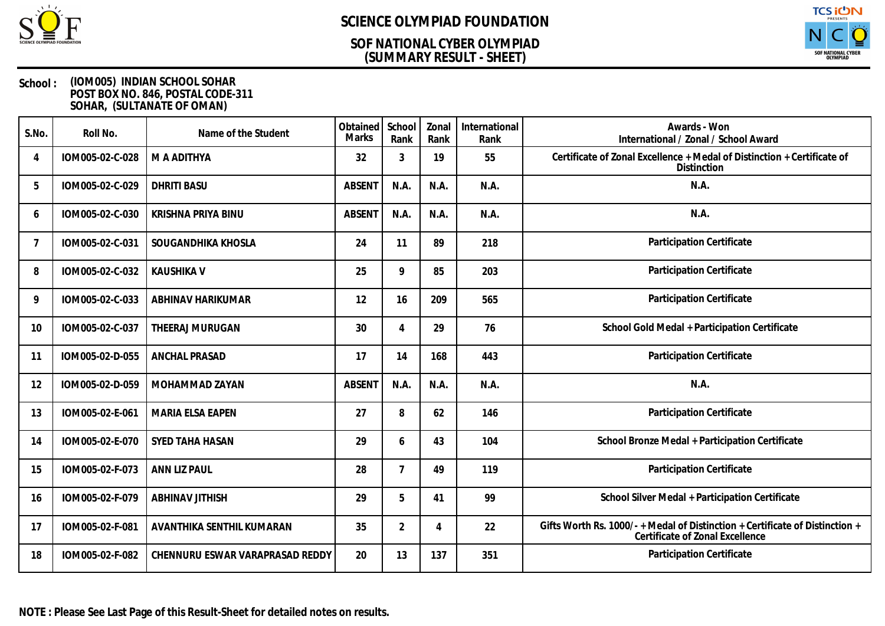

### **(SUMMARY RESULT - SHEET) SOF NATIONAL CYBER OLYMPIAD**



| S.No.          | Roll No.        | Name of the Student             | Obtained<br><b>Marks</b> | School<br>Rank | Zonal<br>Rank | International<br>Rank | Awards - Won<br>International / Zonal / School Award                                                          |
|----------------|-----------------|---------------------------------|--------------------------|----------------|---------------|-----------------------|---------------------------------------------------------------------------------------------------------------|
| $\overline{A}$ | IOM005-02-C-028 | M A ADITHYA                     | 32                       | 3              | 19            | 55                    | Certificate of Zonal Excellence + Medal of Distinction + Certificate of<br>Distinction                        |
| 5              | IOM005-02-C-029 | <b>DHRITI BASU</b>              | <b>ABSENT</b>            | N.A.           | N.A.          | N.A.                  | N.A.                                                                                                          |
| 6              | IOM005-02-C-030 | KRISHNA PRIYA BINU              | <b>ABSENT</b>            | N.A.           | N.A.          | N.A.                  | N.A.                                                                                                          |
| 7              | IOM005-02-C-031 | SOUGANDHIKA KHOSLA              | 24                       | 11             | 89            | 218                   | Participation Certificate                                                                                     |
| 8              | IOM005-02-C-032 | <b>KAUSHIKA V</b>               | 25                       | 9              | 85            | 203                   | Participation Certificate                                                                                     |
| 9              | IOM005-02-C-033 | ABHINAV HARIKUMAR               | 12                       | 16             | 209           | 565                   | Participation Certificate                                                                                     |
| 10             | IOM005-02-C-037 | THEERAJ MURUGAN                 | 30                       | $\overline{4}$ | 29            | 76                    | School Gold Medal + Participation Certificate                                                                 |
| 11             | IOM005-02-D-055 | <b>ANCHAL PRASAD</b>            | 17                       | 14             | 168           | 443                   | Participation Certificate                                                                                     |
| 12             | IOM005-02-D-059 | MOHAMMAD ZAYAN                  | <b>ABSENT</b>            | N.A.           | N.A.          | N.A.                  | N.A.                                                                                                          |
| 13             | IOM005-02-E-061 | <b>MARIA ELSA EAPEN</b>         | 27                       | 8              | 62            | 146                   | Participation Certificate                                                                                     |
| 14             | IOM005-02-E-070 | SYED TAHA HASAN                 | 29                       | 6              | 43            | 104                   | School Bronze Medal + Participation Certificate                                                               |
| 15             | IOM005-02-F-073 | ANN LIZ PAUL                    | 28                       | $\overline{7}$ | 49            | 119                   | Participation Certificate                                                                                     |
| 16             | IOM005-02-F-079 | ABHINAV JITHISH                 | 29                       | 5              | 41            | 99                    | School Silver Medal + Participation Certificate                                                               |
| 17             | IOM005-02-F-081 | AVANTHIKA SENTHIL KUMARAN       | 35                       | $\overline{2}$ | 4             | 22                    | Gifts Worth Rs. 1000/-+Medal of Distinction + Certificate of Distinction +<br>Certificate of Zonal Excellence |
| 18             | IOM005-02-F-082 | CHENNURU ESWAR VARAPRASAD REDDY | 20                       | 13             | 137           | 351                   | Participation Certificate                                                                                     |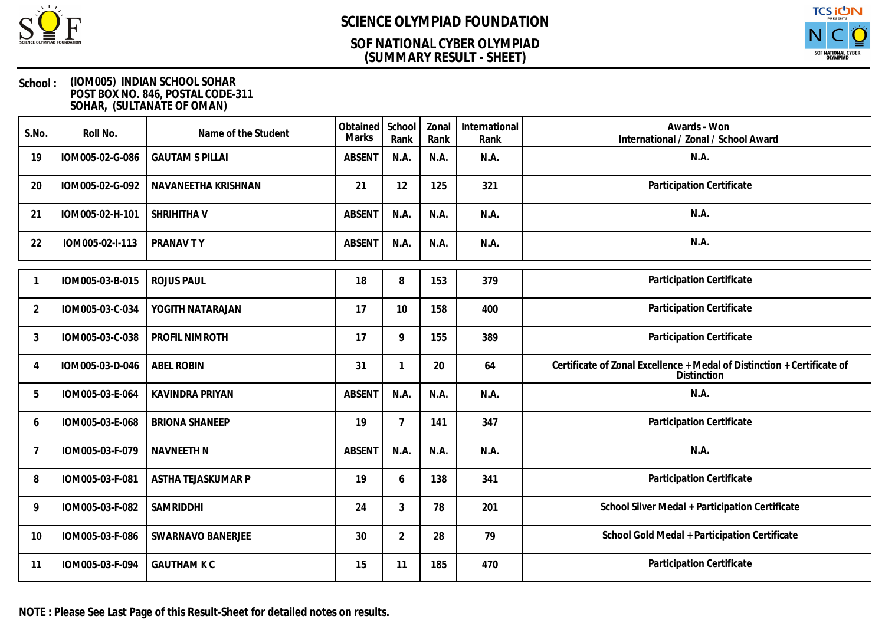

### **(SUMMARY RESULT - SHEET) SOF NATIONAL CYBER OLYMPIAD**



#### **School : (IOM005) INDIAN SCHOOL SOHAR POST BOX NO. 846, POSTAL CODE-311 SOHAR, (SULTANATE OF OMAN)**

| S.No.          | Roll No.        | Name of the Student    | Obtained<br><b>Marks</b> | School<br>Rank | Zonal<br>Rank | International<br>Rank | Awards - Won<br>International / Zonal / School Award                                   |
|----------------|-----------------|------------------------|--------------------------|----------------|---------------|-----------------------|----------------------------------------------------------------------------------------|
| 19             | IOM005-02-G-086 | <b>GAUTAM S PILLAI</b> | <b>ABSENT</b>            | N.A.           | N.A.          | N.A.                  | N.A.                                                                                   |
| 20             | IOM005-02-G-092 | NAVANEETHA KRISHNAN    | 21                       | 12             | 125           | 321                   | Participation Certificate                                                              |
| 21             | IOM005-02-H-101 | SHRIHITHA V            | <b>ABSENT</b>            | N.A.           | N.A.          | N.A.                  | N.A.                                                                                   |
| 22             | IOM005-02-I-113 | PRANAV TY              | <b>ABSENT</b>            | N.A.           | N.A.          | N.A.                  | N.A.                                                                                   |
|                | IOM005-03-B-015 | <b>ROJUS PAUL</b>      | 18                       | 8              | 153           | 379                   | Participation Certificate                                                              |
| $\overline{2}$ | IOM005-03-C-034 | YOGITH NATARAJAN       | 17                       | 10             | 158           | 400                   | Participation Certificate                                                              |
| 3              | IOM005-03-C-038 | PROFIL NIMROTH         | 17                       | 9              | 155           | 389                   | Participation Certificate                                                              |
| $\overline{4}$ | IOM005-03-D-046 | <b>ABEL ROBIN</b>      | 31                       | $\mathbf{1}$   | 20            | 64                    | Certificate of Zonal Excellence + Medal of Distinction + Certificate of<br>Distinction |
| 5              | IOM005-03-E-064 | KAVINDRA PRIYAN        | <b>ABSENT</b>            | N.A.           | N.A.          | N.A.                  | N.A.                                                                                   |
| 6              | IOM005-03-E-068 | <b>BRIONA SHANEEP</b>  | 19                       | $\overline{7}$ | 141           | 347                   | Participation Certificate                                                              |
| -7             | IOM005-03-F-079 | <b>NAVNEETH N</b>      | <b>ABSENT</b>            | N.A.           | N.A.          | N.A.                  | N.A.                                                                                   |
| 8              | IOM005-03-F-081 | ASTHA TEJASKUMAR P     | 19                       | 6              | 138           | 341                   | Participation Certificate                                                              |
| 9              | IOM005-03-F-082 | SAMRIDDHI              | 24                       | 3              | 78            | 201                   | School Silver Medal + Participation Certificate                                        |
| 10             | IOM005-03-F-086 | SWARNAVO BANERJEE      | 30                       | 2              | 28            | 79                    | School Gold Medal + Participation Certificate                                          |
| 11             | IOM005-03-F-094 | <b>GAUTHAM K C</b>     | 15                       | 11             | 185           | 470                   | Participation Certificate                                                              |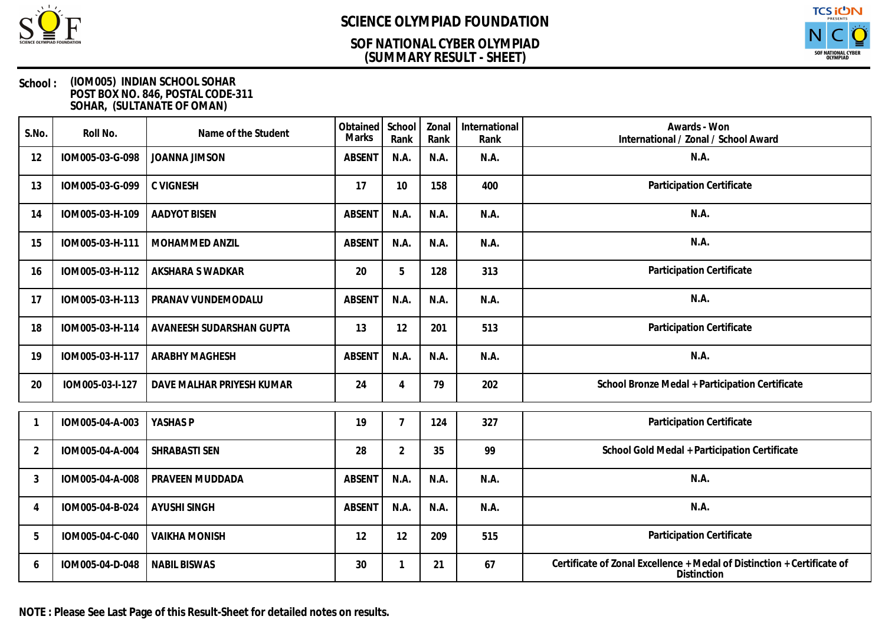

### **(SUMMARY RESULT - SHEET) SOF NATIONAL CYBER OLYMPIAD**



#### **School : (IOM005) INDIAN SCHOOL SOHAR POST BOX NO. 846, POSTAL CODE-311 SOHAR, (SULTANATE OF OMAN)**

| S.No.          | Roll No.        | Name of the Student       | Obtained<br>Marks | School<br>Rank | Zonal<br>Rank | International<br>Rank | Awards - Won<br>International / Zonal / School Award                                   |
|----------------|-----------------|---------------------------|-------------------|----------------|---------------|-----------------------|----------------------------------------------------------------------------------------|
| 12             | IOM005-03-G-098 | <b>JOANNA JIMSON</b>      | <b>ABSENT</b>     | N.A.           | N.A.          | N.A.                  | N.A.                                                                                   |
| 13             | IOM005-03-G-099 | <b>C VIGNESH</b>          | 17                | 10             | 158           | 400                   | Participation Certificate                                                              |
| 14             | IOM005-03-H-109 | <b>AADYOT BISEN</b>       | <b>ABSENT</b>     | N.A.           | N.A.          | N.A.                  | N.A.                                                                                   |
| 15             | IOM005-03-H-111 | <b>MOHAMMED ANZIL</b>     | <b>ABSENT</b>     | N.A.           | N.A.          | N.A.                  | N.A.                                                                                   |
| 16             | IOM005-03-H-112 | AKSHARA S WADKAR          | 20                | 5              | 128           | 313                   | Participation Certificate                                                              |
| 17             | IOM005-03-H-113 | PRANAV VUNDEMODALU        | <b>ABSENT</b>     | N.A.           | N.A.          | N.A.                  | N.A.                                                                                   |
| 18             | IOM005-03-H-114 | AVANEESH SUDARSHAN GUPTA  | 13                | 12             | 201           | 513                   | Participation Certificate                                                              |
| 19             | IOM005-03-H-117 | <b>ARABHY MAGHESH</b>     | <b>ABSENT</b>     | N.A.           | N.A.          | N.A.                  | N.A.                                                                                   |
| 20             | IOM005-03-I-127 | DAVE MALHAR PRIYESH KUMAR | 24                | 4              | 79            | 202                   | School Bronze Medal + Participation Certificate                                        |
|                | IOM005-04-A-003 | YASHAS P                  | 19                | $\overline{7}$ | 124           | 327                   | Participation Certificate                                                              |
| $\overline{2}$ | IOM005-04-A-004 | SHRABASTI SEN             | 28                | $\overline{2}$ | 35            | 99                    | School Gold Medal + Participation Certificate                                          |
| 3              | IOM005-04-A-008 | PRAVEEN MUDDADA           | <b>ABSENT</b>     | N.A.           | N.A.          | N.A.                  | N.A.                                                                                   |
| 4              | IOM005-04-B-024 | <b>AYUSHI SINGH</b>       | <b>ABSENT</b>     | N.A.           | N.A.          | N.A.                  | N.A.                                                                                   |
| 5              | IOM005-04-C-040 | <b>VAIKHA MONISH</b>      | 12                | 12             | 209           | 515                   | Participation Certificate                                                              |
| 6              | IOM005-04-D-048 | <b>NABIL BISWAS</b>       | 30                | 1              | 21            | 67                    | Certificate of Zonal Excellence + Medal of Distinction + Certificate of<br>Distinction |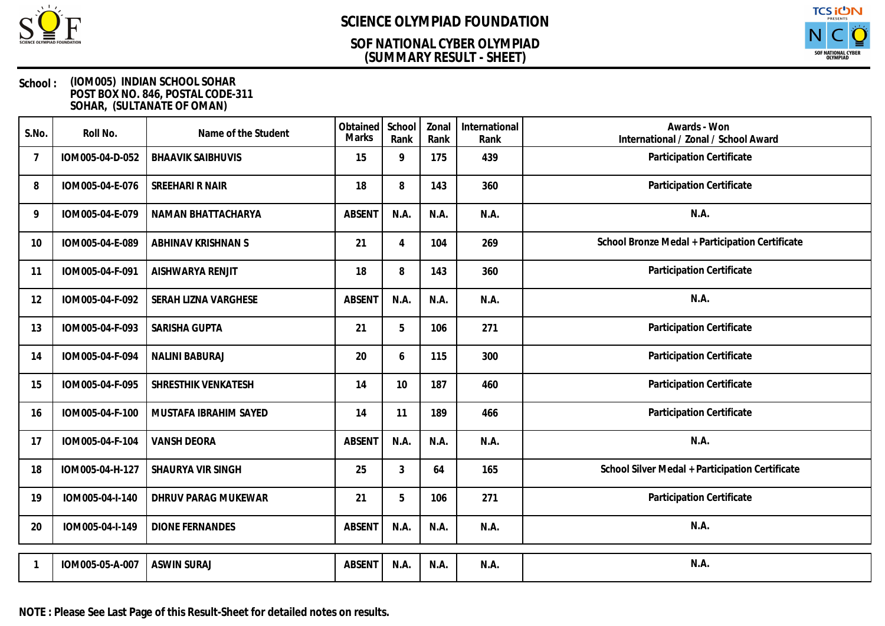

### **(SUMMARY RESULT - SHEET) SOF NATIONAL CYBER OLYMPIAD**



| S.No.          | Roll No.        | Name of the Student      | Obtained<br>Marks | School<br>Rank | Zonal<br>Rank | International<br>Rank | Awards - Won<br>International / Zonal / School Award |
|----------------|-----------------|--------------------------|-------------------|----------------|---------------|-----------------------|------------------------------------------------------|
| $\overline{7}$ | IOM005-04-D-052 | <b>BHAAVIK SAIBHUVIS</b> | 15                | 9              | 175           | 439                   | Participation Certificate                            |
| 8              | IOM005-04-E-076 | SREEHARI R NAIR          | 18                | 8              | 143           | 360                   | Participation Certificate                            |
| 9              | IOM005-04-E-079 | NAMAN BHATTACHARYA       | <b>ABSENT</b>     | N.A.           | N.A.          | N.A.                  | N.A.                                                 |
| 10             | IOM005-04-E-089 | ABHINAV KRISHNAN S       | 21                | 4              | 104           | 269                   | School Bronze Medal + Participation Certificate      |
| 11             | IOM005-04-F-091 | AISHWARYA RENJIT         | 18                | 8              | 143           | 360                   | Participation Certificate                            |
| 12             | IOM005-04-F-092 | SERAH LIZNA VARGHESE     | <b>ABSENT</b>     | N.A.           | N.A.          | N.A.                  | N.A.                                                 |
| 13             | IOM005-04-F-093 | SARISHA GUPTA            | 21                | 5              | 106           | 271                   | Participation Certificate                            |
| 14             | IOM005-04-F-094 | <b>NALINI BABURAJ</b>    | 20                | 6              | 115           | 300                   | Participation Certificate                            |
| 15             | IOM005-04-F-095 | SHRESTHIK VENKATESH      | 14                | 10             | 187           | 460                   | Participation Certificate                            |
| 16             | IOM005-04-F-100 | MUSTAFA IBRAHIM SAYED    | 14                | 11             | 189           | 466                   | Participation Certificate                            |
| 17             | IOM005-04-F-104 | <b>VANSH DEORA</b>       | <b>ABSENT</b>     | N.A.           | N.A.          | N.A.                  | N.A.                                                 |
| 18             | IOM005-04-H-127 | SHAURYA VIR SINGH        | 25                | 3              | 64            | 165                   | School Silver Medal + Participation Certificate      |
| 19             | IOM005-04-I-140 | DHRUV PARAG MUKEWAR      | 21                | 5              | 106           | 271                   | Participation Certificate                            |
| 20             | IOM005-04-I-149 | <b>DIONE FERNANDES</b>   | <b>ABSENT</b>     | N.A.           | N.A.          | N.A.                  | N.A.                                                 |
| -1             | IOM005-05-A-007 | <b>ASWIN SURAJ</b>       | <b>ABSENT</b>     | N.A.           | N.A.          | N.A.                  | N.A.                                                 |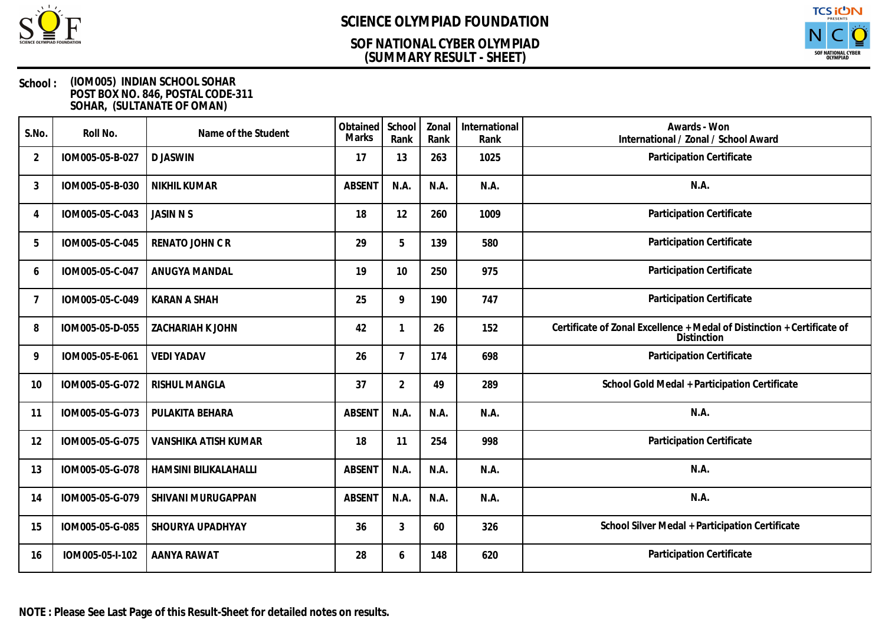

### **(SUMMARY RESULT - SHEET) SOF NATIONAL CYBER OLYMPIAD**



| S.No.          | Roll No.        | Name of the Student   | Obtained<br><b>Marks</b> | School<br>Rank | Zonal<br>Rank | International<br>Rank | Awards - Won<br>International / Zonal / School Award                                   |
|----------------|-----------------|-----------------------|--------------------------|----------------|---------------|-----------------------|----------------------------------------------------------------------------------------|
| $\overline{2}$ | IOM005-05-B-027 | <b>DJASWIN</b>        | 17                       | 13             | 263           | 1025                  | Participation Certificate                                                              |
| 3              | IOM005-05-B-030 | <b>NIKHIL KUMAR</b>   | <b>ABSEN1</b>            | N.A.           | N.A.          | N.A.                  | N.A.                                                                                   |
| $\overline{4}$ | IOM005-05-C-043 | <b>JASIN N S</b>      | 18                       | 12             | 260           | 1009                  | Participation Certificate                                                              |
| 5              | IOM005-05-C-045 | RENATO JOHN C R       | 29                       | 5              | 139           | 580                   | Participation Certificate                                                              |
| 6              | IOM005-05-C-047 | ANUGYA MANDAL         | 19                       | 10             | 250           | 975                   | Participation Certificate                                                              |
| 7              | IOM005-05-C-049 | <b>KARAN A SHAH</b>   | 25                       | 9              | 190           | 747                   | Participation Certificate                                                              |
| 8              | IOM005-05-D-055 | ZACHARIAH K JOHN      | 42                       | 1              | 26            | 152                   | Certificate of Zonal Excellence + Medal of Distinction + Certificate of<br>Distinction |
| 9              | IOM005-05-E-061 | <b>VEDI YADAV</b>     | 26                       | $\overline{7}$ | 174           | 698                   | Participation Certificate                                                              |
| 10             | IOM005-05-G-072 | <b>RISHUL MANGLA</b>  | 37                       | $\overline{2}$ | 49            | 289                   | School Gold Medal + Participation Certificate                                          |
| 11             | IOM005-05-G-073 | PULAKITA BEHARA       | <b>ABSENT</b>            | N.A.           | N.A.          | N.A.                  | N.A.                                                                                   |
| 12             | IOM005-05-G-075 | VANSHIKA ATISH KUMAR  | 18                       | 11             | 254           | 998                   | Participation Certificate                                                              |
| 13             | IOM005-05-G-078 | HAMSINI BILIKALAHALLI | <b>ABSENT</b>            | N.A.           | N.A.          | N.A.                  | N.A.                                                                                   |
| 14             | IOM005-05-G-079 | SHIVANI MURUGAPPAN    | <b>ABSENT</b>            | N.A.           | N.A.          | N.A.                  | N.A.                                                                                   |
| 15             | IOM005-05-G-085 | SHOURYA UPADHYAY      | 36                       | 3              | 60            | 326                   | School Silver Medal + Participation Certificate                                        |
| 16             | IOM005-05-I-102 | AANYA RAWAT           | 28                       | 6              | 148           | 620                   | Participation Certificate                                                              |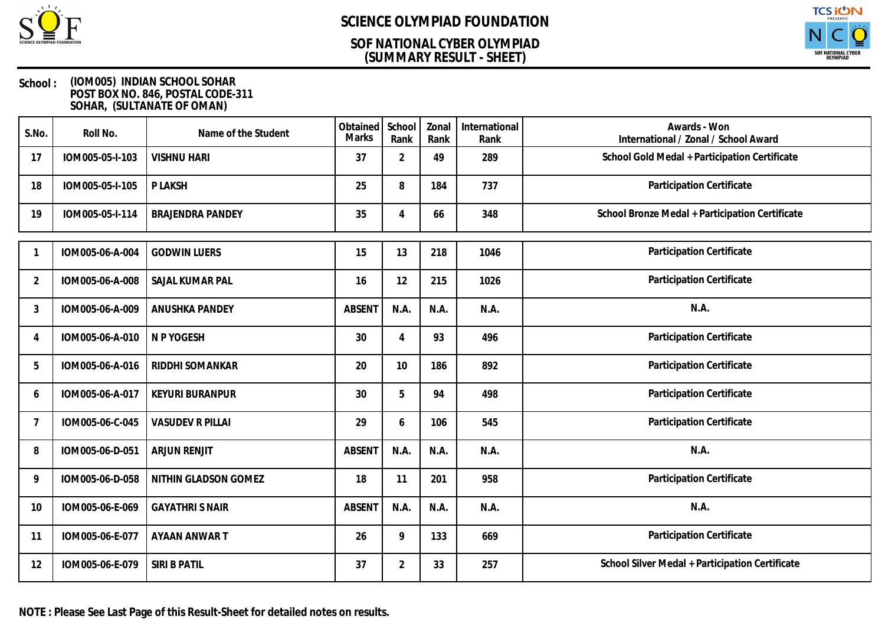

### **(SUMMARY RESULT - SHEET) SOF NATIONAL CYBER OLYMPIAD**



| S.No.          | Roll No.        | Name of the Student     | Obtained<br><b>Marks</b> | School<br>Rank | Zonal<br>Rank | International<br>Rank | Awards - Won<br>International / Zonal / School Award |
|----------------|-----------------|-------------------------|--------------------------|----------------|---------------|-----------------------|------------------------------------------------------|
| 17             | IOM005-05-I-103 | <b>VISHNU HARI</b>      | 37                       | $\overline{2}$ | 49            | 289                   | School Gold Medal + Participation Certificate        |
| 18             | IOM005-05-I-105 | P LAKSH                 | 25                       | 8              | 184           | 737                   | Participation Certificate                            |
| 19             | IOM005-05-I-114 | <b>BRAJENDRA PANDEY</b> | 35                       | 4              | 66            | 348                   | School Bronze Medal + Participation Certificate      |
|                | IOM005-06-A-004 | <b>GODWIN LUERS</b>     | 15                       | 13             | 218           | 1046                  | Participation Certificate                            |
| $\overline{2}$ | IOM005-06-A-008 | SAJAL KUMAR PAL         | 16                       | 12             | 215           | 1026                  | Participation Certificate                            |
| 3              | IOM005-06-A-009 | <b>ANUSHKA PANDEY</b>   | <b>ABSENT</b>            | N.A.           | N.A.          | N.A.                  | N.A.                                                 |
| 4              | IOM005-06-A-010 | N P YOGESH              | 30                       | 4              | 93            | 496                   | Participation Certificate                            |
| 5              | IOM005-06-A-016 | RIDDHI SOMANKAR         | 20                       | 10             | 186           | 892                   | Participation Certificate                            |
| 6              | IOM005-06-A-017 | <b>KEYURI BURANPUR</b>  | 30                       | 5              | 94            | 498                   | Participation Certificate                            |
| 7              | IOM005-06-C-045 | <b>VASUDEV R PILLAI</b> | 29                       | 6              | 106           | 545                   | Participation Certificate                            |
| 8              | IOM005-06-D-051 | <b>ARJUN RENJIT</b>     | <b>ABSENT</b>            | N.A.           | N.A.          | N.A.                  | N.A.                                                 |
| 9              | IOM005-06-D-058 | NITHIN GLADSON GOMEZ    | 18                       | 11             | 201           | 958                   | Participation Certificate                            |
| 10             | IOM005-06-E-069 | <b>GAYATHRI S NAIR</b>  | <b>ABSENT</b>            | N.A.           | N.A.          | N.A.                  | N.A.                                                 |
| 11             | IOM005-06-E-077 | AYAAN ANWAR T           | 26                       | 9              | 133           | 669                   | Participation Certificate                            |
| 12             | IOM005-06-E-079 | SIRI B PATIL            | 37                       | $\overline{2}$ | 33            | 257                   | School Silver Medal + Participation Certificate      |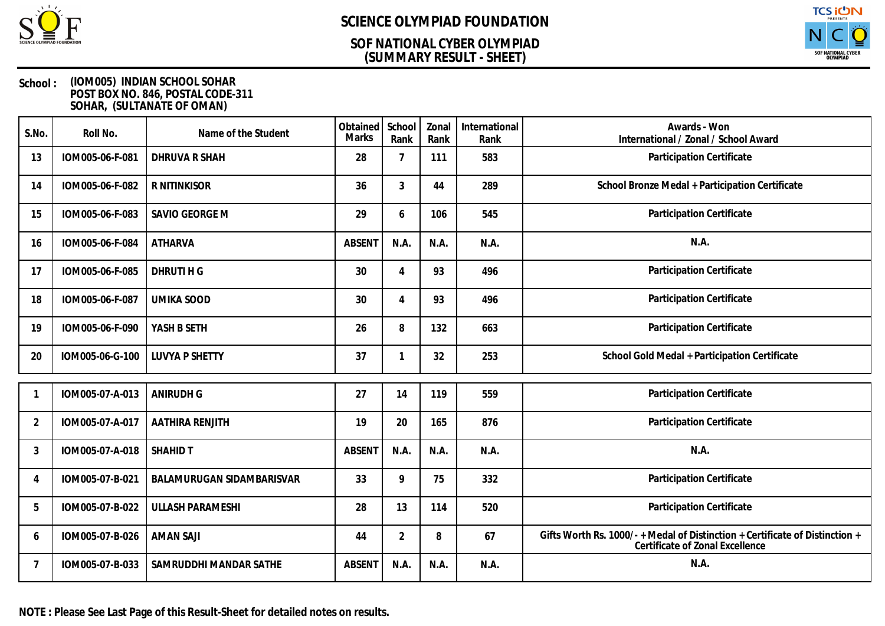

### **(SUMMARY RESULT - SHEET) SOF NATIONAL CYBER OLYMPIAD**



#### **School : (IOM005) INDIAN SCHOOL SOHAR POST BOX NO. 846, POSTAL CODE-311 SOHAR, (SULTANATE OF OMAN)**

| S.No.          | Roll No.        | Name of the Student       | Obtained<br>Marks | School<br>Rank | Zonal<br>Rank | International<br>Rank | Awards - Won<br>International / Zonal / School Award                                                          |
|----------------|-----------------|---------------------------|-------------------|----------------|---------------|-----------------------|---------------------------------------------------------------------------------------------------------------|
| 13             | IOM005-06-F-081 | <b>DHRUVA R SHAH</b>      | 28                | 7              | 111           | 583                   | Participation Certificate                                                                                     |
| 14             | IOM005-06-F-082 | R NITINKISOR              | 36                | 3              | 44            | 289                   | School Bronze Medal + Participation Certificate                                                               |
| 15             | IOM005-06-F-083 | SAVIO GEORGE M            | 29                | 6              | 106           | 545                   | Participation Certificate                                                                                     |
| 16             | IOM005-06-F-084 | <b>ATHARVA</b>            | <b>ABSENT</b>     | N.A.           | N.A.          | N.A.                  | N.A.                                                                                                          |
| 17             | IOM005-06-F-085 | DHRUTI H G                | 30                | 4              | 93            | 496                   | Participation Certificate                                                                                     |
| 18             | IOM005-06-F-087 | <b>UMIKA SOOD</b>         | 30                | 4              | 93            | 496                   | Participation Certificate                                                                                     |
| 19             | IOM005-06-F-090 | YASH B SETH               | 26                | 8              | 132           | 663                   | Participation Certificate                                                                                     |
| 20             | IOM005-06-G-100 | <b>LUVYA P SHETTY</b>     | 37                |                | 32            | 253                   | School Gold Medal + Participation Certificate                                                                 |
|                |                 |                           |                   |                |               |                       |                                                                                                               |
|                | IOM005-07-A-013 | <b>ANIRUDH G</b>          | 27                | 14             | 119           | 559                   | Participation Certificate                                                                                     |
| $\overline{2}$ | IOM005-07-A-017 | AATHIRA RENJITH           | 19                | 20             | 165           | 876                   | Participation Certificate                                                                                     |
| 3              | IOM005-07-A-018 | <b>SHAHID T</b>           | <b>ABSENT</b>     | N.A.           | N.A.          | N.A.                  | N.A.                                                                                                          |
| $\overline{4}$ | IOM005-07-B-021 | BALAMURUGAN SIDAMBARISVAR | 33                | 9              | 75            | 332                   | <b>Participation Certificate</b>                                                                              |
| 5              | IOM005-07-B-022 | <b>ULLASH PARAMESHI</b>   | 28                | 13             | 114           | 520                   | Participation Certificate                                                                                     |
| 6              | IOM005-07-B-026 | <b>AMAN SAJI</b>          | 44                | $\overline{2}$ | 8             | 67                    | Gifts Worth Rs. 1000/-+Medal of Distinction + Certificate of Distinction +<br>Certificate of Zonal Excellence |
| 7              | IOM005-07-B-033 | SAMRUDDHI MANDAR SATHE    | <b>ABSENT</b>     | N.A.           | N.A.          | N.A.                  | N.A.                                                                                                          |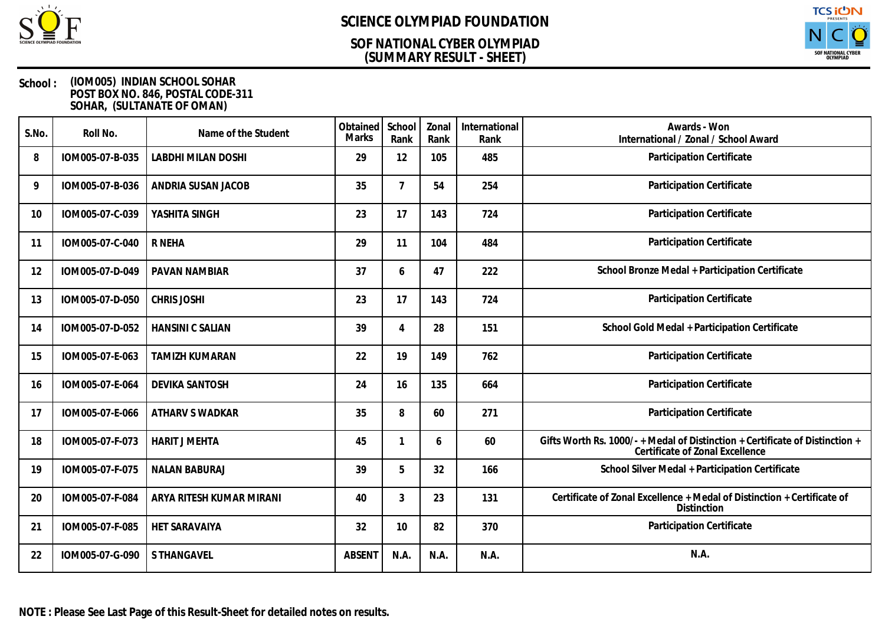

### **(SUMMARY RESULT - SHEET) SOF NATIONAL CYBER OLYMPIAD**



| S.No. | Roll No.        | Name of the Student       | Obtained<br><b>Marks</b> | School<br>Rank | Zonal<br>Rank | International<br>Rank | Awards - Won<br>International / Zonal / School Award                                                          |
|-------|-----------------|---------------------------|--------------------------|----------------|---------------|-----------------------|---------------------------------------------------------------------------------------------------------------|
| 8     | IOM005-07-B-035 | <b>LABDHI MILAN DOSHI</b> | 29                       | 12             | 105           | 485                   | Participation Certificate                                                                                     |
| 9     | IOM005-07-B-036 | ANDRIA SUSAN JACOB        | 35                       | $\overline{7}$ | 54            | 254                   | Participation Certificate                                                                                     |
| 10    | IOM005-07-C-039 | YASHITA SINGH             | 23                       | 17             | 143           | 724                   | Participation Certificate                                                                                     |
| -11   | IOM005-07-C-040 | R NEHA                    | 29                       | 11             | 104           | 484                   | Participation Certificate                                                                                     |
| 12    | IOM005-07-D-049 | PAVAN NAMBIAR             | 37                       | 6              | 47            | 222                   | School Bronze Medal + Participation Certificate                                                               |
| 13    | IOM005-07-D-050 | <b>CHRIS JOSHI</b>        | 23                       | 17             | 143           | 724                   | Participation Certificate                                                                                     |
| 14    | IOM005-07-D-052 | <b>HANSINI C SALIAN</b>   | 39                       | 4              | 28            | 151                   | School Gold Medal + Participation Certificate                                                                 |
| 15    | IOM005-07-E-063 | <b>TAMIZH KUMARAN</b>     | 22                       | 19             | 149           | 762                   | Participation Certificate                                                                                     |
| 16    | IOM005-07-E-064 | <b>DEVIKA SANTOSH</b>     | 24                       | 16             | 135           | 664                   | Participation Certificate                                                                                     |
| 17    | IOM005-07-E-066 | ATHARV S WADKAR           | 35                       | 8              | 60            | 271                   | Participation Certificate                                                                                     |
| 18    | IOM005-07-F-073 | <b>HARIT J MEHTA</b>      | 45                       | 1              | 6             | 60                    | Gifts Worth Rs. 1000/-+Medal of Distinction + Certificate of Distinction +<br>Certificate of Zonal Excellence |
| 19    | IOM005-07-F-075 | <b>NALAN BABURAJ</b>      | 39                       | 5              | 32            | 166                   | School Silver Medal + Participation Certificate                                                               |
| 20    | IOM005-07-F-084 | ARYA RITESH KUMAR MIRANI  | 40                       | 3              | 23            | 131                   | Certificate of Zonal Excellence + Medal of Distinction + Certificate of<br>Distinction                        |
| 21    | IOM005-07-F-085 | HET SARAVAIYA             | 32                       | 10             | 82            | 370                   | Participation Certificate                                                                                     |
| 22    | IOM005-07-G-090 | <b>S THANGAVEL</b>        | <b>ABSENT</b>            | N.A.           | N.A.          | N.A.                  | N.A.                                                                                                          |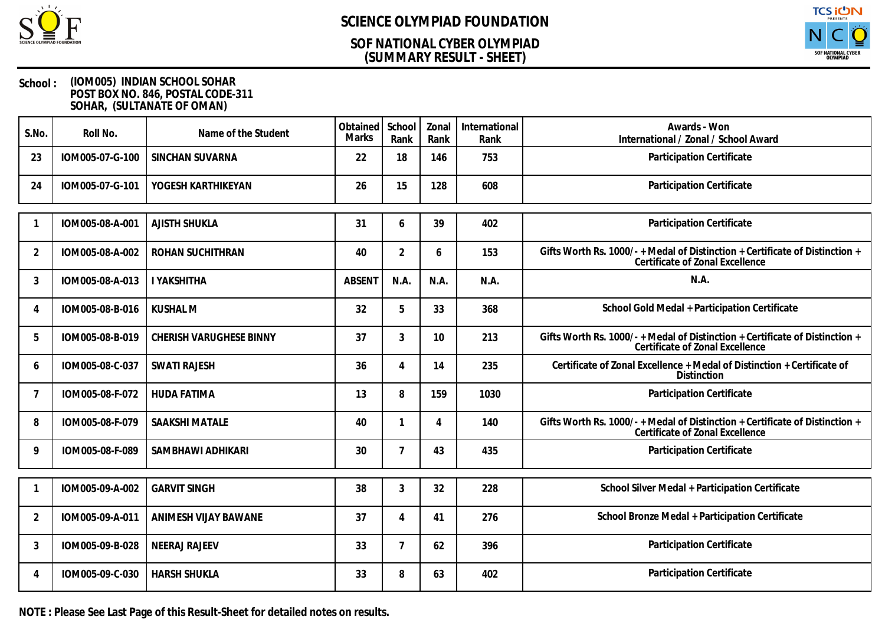

### **(SUMMARY RESULT - SHEET) SOF NATIONAL CYBER OLYMPIAD**



#### **School : (IOM005) INDIAN SCHOOL SOHAR POST BOX NO. 846, POSTAL CODE-311 SOHAR, (SULTANATE OF OMAN)**

| S.No. | Roll No.        | Name of the Student     | Obtained<br><b>Marks</b> | School<br>Rank | Zonal<br>Rank | International<br>Rank | Awards - Won<br>International / Zonal / School Award                                                            |
|-------|-----------------|-------------------------|--------------------------|----------------|---------------|-----------------------|-----------------------------------------------------------------------------------------------------------------|
| 23    | IOM005-07-G-100 | SINCHAN SUVARNA         | 22                       | 18             | 146           | 753                   | Participation Certificate                                                                                       |
| 24    | IOM005-07-G-101 | YOGESH KARTHIKEYAN      | 26                       | 15             | 128           | 608                   | Participation Certificate                                                                                       |
| -1    | IOM005-08-A-001 | AJISTH SHUKLA           | 31                       | 6              | 39            | 402                   | Participation Certificate                                                                                       |
| 2     | IOM005-08-A-002 | ROHAN SUCHITHRAN        | 40                       | $\overline{2}$ | 6             | 153                   | Gifts Worth Rs. 1000/- + Medal of Distinction + Certificate of Distinction +<br>Certificate of Zonal Excellence |
| 3     | IOM005-08-A-013 | <b>I YAKSHITHA</b>      | <b>ABSENT</b>            | N.A.           | N.A.          | N.A.                  | N.A.                                                                                                            |
| 4     | IOM005-08-B-016 | <b>KUSHAL M</b>         | 32                       | 5              | 33            | 368                   | School Gold Medal + Participation Certificate                                                                   |
| 5     | IOM005-08-B-019 | CHERISH VARUGHESE BINNY | 37                       | 3              | 10            | 213                   | Gifts Worth Rs. 1000/- + Medal of Distinction + Certificate of Distinction +<br>Certificate of Zonal Excellence |
| 6     | IOM005-08-C-037 | <b>SWATI RAJESH</b>     | 36                       | 4              | 14            | 235                   | Certificate of Zonal Excellence + Medal of Distinction + Certificate of<br>Distinction                          |
| 7     | IOM005-08-F-072 | <b>HUDA FATIMA</b>      | 13                       | 8              | 159           | 1030                  | Participation Certificate                                                                                       |
| 8     | IOM005-08-F-079 | SAAKSHI MATALE          | 40                       | 1              | 4             | 140                   | Gifts Worth Rs. 1000/-+Medal of Distinction + Certificate of Distinction +<br>Certificate of Zonal Excellence   |
| 9     | IOM005-08-F-089 | SAMBHAWI ADHIKARI       | 30                       | $\overline{7}$ | 43            | 435                   | Participation Certificate                                                                                       |
| -1    | IOM005-09-A-002 | <b>GARVIT SINGH</b>     | 38                       | 3              | 32            | 228                   | School Silver Medal + Participation Certificate                                                                 |
| 2     | IOM005-09-A-011 | ANIMESH VIJAY BAWANE    | 37                       | 4              | 41            | 276                   | School Bronze Medal + Participation Certificate                                                                 |
| 3     | IOM005-09-B-028 | <b>NEERAJ RAJEEV</b>    | 33                       | $\overline{7}$ | 62            | 396                   | Participation Certificate                                                                                       |
| 4     | IOM005-09-C-030 | <b>HARSH SHUKLA</b>     | 33                       | 8              | 63            | 402                   | Participation Certificate                                                                                       |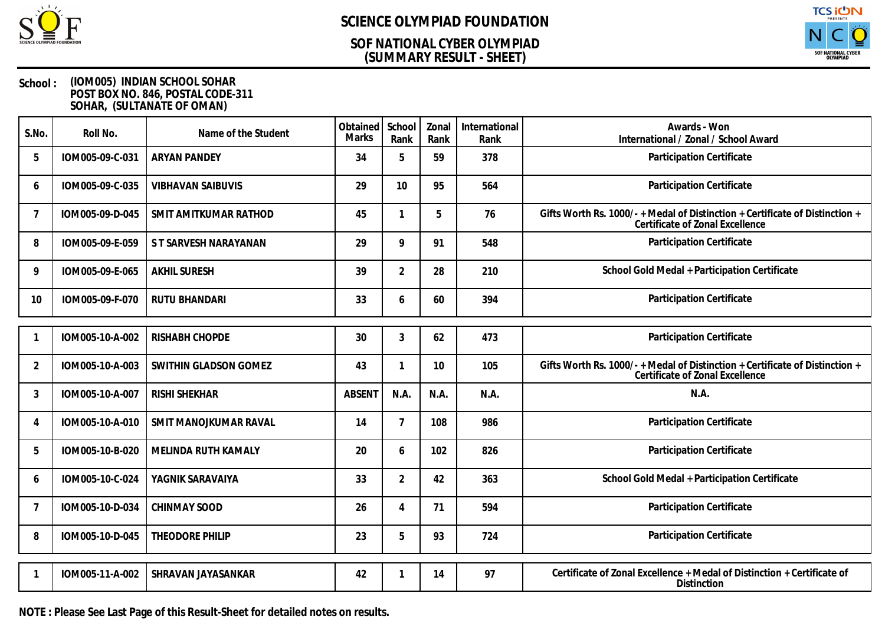

### **(SUMMARY RESULT - SHEET) SOF NATIONAL CYBER OLYMPIAD**



#### **School : (IOM005) INDIAN SCHOOL SOHAR POST BOX NO. 846, POSTAL CODE-311 SOHAR, (SULTANATE OF OMAN)**

| S.No.          | Roll No.        | Name of the Student      | Obtained<br><b>Marks</b> | School<br>Rank | Zonal<br>Rank | International<br>Rank | Awards - Won<br>International / Zonal / School Award                                                            |
|----------------|-----------------|--------------------------|--------------------------|----------------|---------------|-----------------------|-----------------------------------------------------------------------------------------------------------------|
| 5              | IOM005-09-C-031 | <b>ARYAN PANDEY</b>      | 34                       | 5              | 59            | 378                   | Participation Certificate                                                                                       |
| 6              | IOM005-09-C-035 | <b>VIBHAVAN SAIBUVIS</b> | 29                       | 10             | 95            | 564                   | Participation Certificate                                                                                       |
| 7              | IOM005-09-D-045 | SMIT AMITKUMAR RATHOD    | 45                       | 1              | 5             | 76                    | Gifts Worth Rs. 1000/- + Medal of Distinction + Certificate of Distinction +<br>Certificate of Zonal Excellence |
| 8              | IOM005-09-E-059 | S T SARVESH NARAYANAN    | 29                       | 9              | 91            | 548                   | Participation Certificate                                                                                       |
| 9              | IOM005-09-E-065 | <b>AKHIL SURESH</b>      | 39                       | $\overline{2}$ | 28            | 210                   | School Gold Medal + Participation Certificate                                                                   |
| 10             | IOM005-09-F-070 | <b>RUTU BHANDARI</b>     | 33                       | 6              | 60            | 394                   | Participation Certificate                                                                                       |
|                |                 |                          |                          |                |               |                       |                                                                                                                 |
|                | IOM005-10-A-002 | RISHABH CHOPDE           | 30                       | $\mathfrak{Z}$ | 62            | 473                   | Participation Certificate                                                                                       |
| $\overline{2}$ | IOM005-10-A-003 | SWITHIN GLADSON GOMEZ    | 43                       | 1              | 10            | 105                   | Gifts Worth Rs. 1000/-+Medal of Distinction + Certificate of Distinction +<br>Certificate of Zonal Excellence   |
| 3              | IOM005-10-A-007 | <b>RISHI SHEKHAR</b>     | <b>ABSENT</b>            | N.A.           | N.A.          | N.A.                  | N.A.                                                                                                            |
| 4              | IOM005-10-A-010 | SMIT MANOJKUMAR RAVAL    | 14                       | $\overline{7}$ | 108           | 986                   | Participation Certificate                                                                                       |
| 5              | IOM005-10-B-020 | MELINDA RUTH KAMALY      | 20                       | 6              | 102           | 826                   | Participation Certificate                                                                                       |
| 6              | IOM005-10-C-024 | YAGNIK SARAVAIYA         | 33                       | $\overline{2}$ | 42            | 363                   | School Gold Medal + Participation Certificate                                                                   |
| 7              | IOM005-10-D-034 | <b>CHINMAY SOOD</b>      | 26                       | 4              | 71            | 594                   | Participation Certificate                                                                                       |
| 8              | IOM005-10-D-045 | THEODORE PHILIP          | 23                       | 5              | 93            | 724                   | Participation Certificate                                                                                       |
|                |                 |                          |                          |                |               |                       |                                                                                                                 |
|                | IOM005-11-A-002 | SHRAVAN JAYASANKAR       | 42                       |                | 14            | 97                    | Certificate of Zonal Excellence + Medal of Distinction + Certificate of<br>Distinction                          |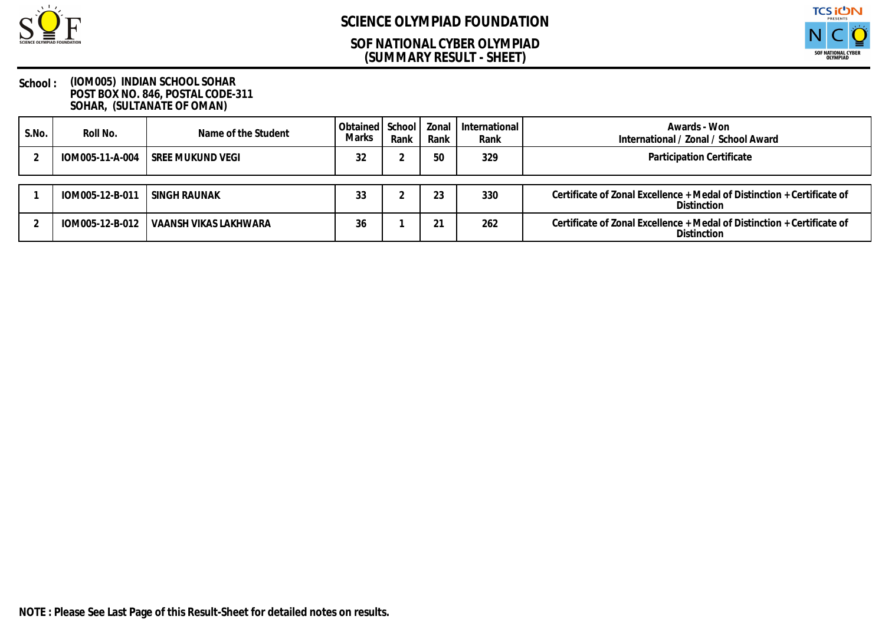

### **(SUMMARY RESULT - SHEET) SOF NATIONAL CYBER OLYMPIAD**



| S.No. | Roll No.        | Name of the Student              | Obtained   School   Zonal<br>Marks | Rank | Rank   | International<br>Rank | Awards - Won<br>International / Zonal / School Award                                          |
|-------|-----------------|----------------------------------|------------------------------------|------|--------|-----------------------|-----------------------------------------------------------------------------------------------|
|       |                 | IOM005-11-A-004 SREE MUKUND VEGI | 32                                 |      | 50     | 329                   | Participation Certificate                                                                     |
|       | IOM005-12-B-011 | SINGH RAUNAK                     | 33                                 |      | ົດ     | 330                   | Certificate of Zonal Excellence + Medal of Distinction + Certificate of<br><b>Distinction</b> |
|       | IOM005-12-B-012 | VAANSH VIKAS LAKHWARA            | 36                                 |      | $\sim$ | 262                   | Certificate of Zonal Excellence + Medal of Distinction + Certificate of<br><b>Distinction</b> |